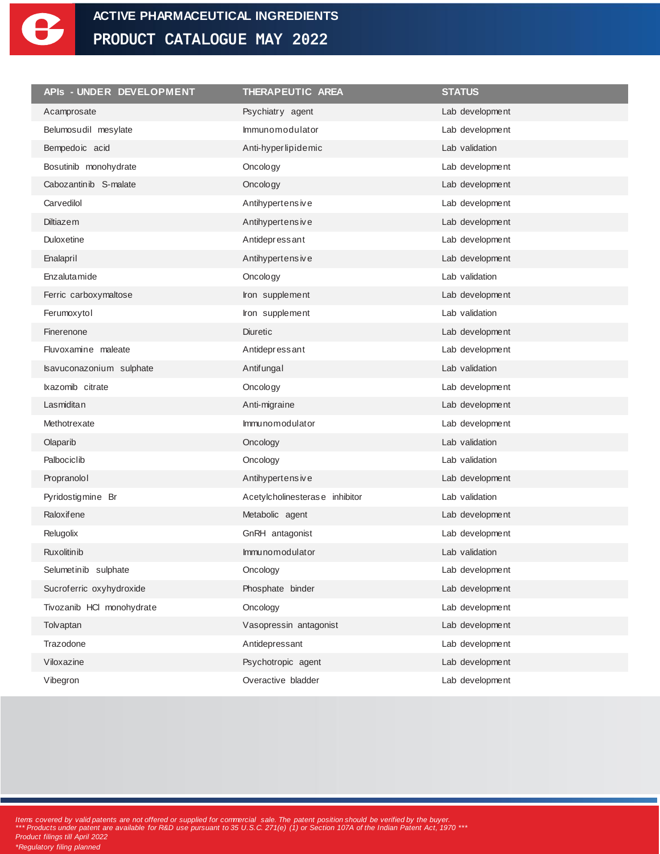

| APIs - UNDER DEVELOPMENT  | THERAPEUTIC AREA               | <b>STATUS</b>   |
|---------------------------|--------------------------------|-----------------|
| Acamprosate               | Psychiatry agent               | Lab development |
| Belumosudil mesylate      | Immunomodulator                | Lab development |
| Bempedoic acid            | Anti-hyperlipidemic            | Lab validation  |
| Bosutinib monohydrate     | Oncology                       | Lab development |
| Cabozantinib S-malate     | Oncology                       | Lab development |
| Carvedilol                | Antihypertensive               | Lab development |
| <b>Diltiazem</b>          | Antihypertens ive              | Lab development |
| Duloxetine                | Antidepressant                 | Lab development |
| Enalapril                 | Antihypertensive               | Lab development |
| Enzalutamide              | Oncology                       | Lab validation  |
| Ferric carboxymaltose     | Iron supplement                | Lab development |
| Ferumoxytol               | Iron supplement                | Lab validation  |
| Finerenone                | <b>Diuretic</b>                | Lab development |
| Fluvoxamine maleate       | Antidepressant                 | Lab development |
| Isavuconazonium sulphate  | Antifungal                     | Lab validation  |
| Ixazomib citrate          | Oncology                       | Lab development |
| Lasmiditan                | Anti-migraine                  | Lab development |
| Methotrexate              | Immunomodulator                | Lab development |
| Olaparib                  | Oncology                       | Lab validation  |
| Palbociclib               | Oncology                       | Lab validation  |
| Propranolol               | Antihypertensive               | Lab development |
| Pyridostigmine Br         | Acetylcholinesterase inhibitor | Lab validation  |
| Raloxifene                | Metabolic agent                | Lab development |
| Relugolix                 | GnRH antagonist                | Lab development |
| <b>Ruxolitin ib</b>       | Immunomodulator                | Lab validation  |
| Selumetinib sulphate      | Oncology                       | Lab development |
| Sucroferric oxyhydroxide  | Phosphate binder               | Lab development |
| Tivozanib HCI monohydrate | Oncology                       | Lab development |
| Tolvaptan                 | Vasopressin antagonist         | Lab development |
| Trazodone                 | Antidepressant                 | Lab development |
| Viloxazine                | Psychotropic agent             | Lab development |
| Vibegron                  | Overactive bladder             | Lab development |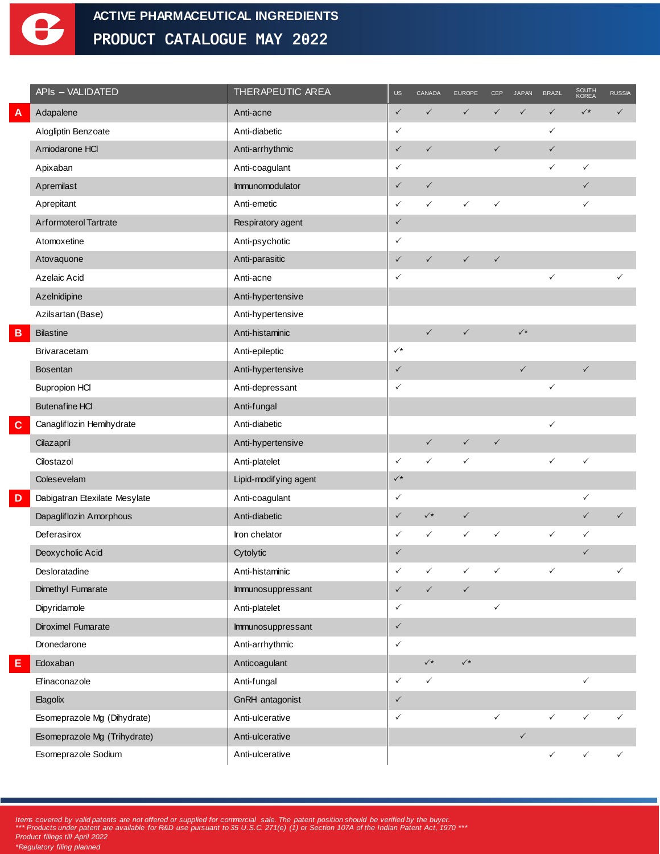

|   | APIs - VALIDATED              | THERAPEUTIC AREA      | US             | CANADA               | <b>EUROPE</b>        | CEP          | <b>JAPAN</b>   | <b>BRAZL</b> | SOUTH<br>KOREA | <b>RUSSIA</b> |
|---|-------------------------------|-----------------------|----------------|----------------------|----------------------|--------------|----------------|--------------|----------------|---------------|
|   | Adapalene                     | Anti-acne             | $\checkmark$   | $\checkmark$         | $\checkmark$         | $\checkmark$ | $\checkmark$   | $\checkmark$ | $\checkmark^*$ | $\checkmark$  |
|   | Alogliptin Benzoate           | Anti-diabetic         | $\checkmark$   |                      |                      |              |                | ✓            |                |               |
|   | Amiodarone HCl                | Anti-arrhythmic       | $\checkmark$   | $\checkmark$         |                      | $\checkmark$ |                | $\checkmark$ |                |               |
|   | Apixaban                      | Anti-coagulant        | $\checkmark$   |                      |                      |              |                | ✓            | $\checkmark$   |               |
|   | Apremilast                    | Immunomodulator       | $\checkmark$   | $\checkmark$         |                      |              |                |              | $\checkmark$   |               |
|   | Aprepitant                    | Anti-emetic           | $\checkmark$   | $\checkmark$         | $\checkmark$         | ✓            |                |              | $\checkmark$   |               |
|   | Arformoterol Tartrate         | Respiratory agent     | $\checkmark$   |                      |                      |              |                |              |                |               |
|   | Atomoxetine                   | Anti-psychotic        | $\checkmark$   |                      |                      |              |                |              |                |               |
|   | Atovaquone                    | Anti-parasitic        | $\checkmark$   | $\checkmark$         | $\checkmark$         | $\checkmark$ |                |              |                |               |
|   | Azelaic Acid                  | Anti-acne             | $\checkmark$   |                      |                      |              |                | ✓            |                |               |
|   | Azelnidipine                  | Anti-hypertensive     |                |                      |                      |              |                |              |                |               |
|   | Azilsartan (Base)             | Anti-hypertensive     |                |                      |                      |              |                |              |                |               |
| в | <b>Bilastine</b>              | Anti-histaminic       |                | $\checkmark$         | $\checkmark$         |              | $\checkmark^*$ |              |                |               |
|   | Brivaracetam                  | Anti-epileptic        | $\checkmark^*$ |                      |                      |              |                |              |                |               |
|   | <b>Bosentan</b>               | Anti-hypertensive     | $\checkmark$   |                      |                      |              | $\checkmark$   |              | $\checkmark$   |               |
|   | <b>Bupropion HCI</b>          | Anti-depressant       | $\checkmark$   |                      |                      |              |                | ✓            |                |               |
|   | <b>Butenafine HCI</b>         | Anti-fungal           |                |                      |                      |              |                |              |                |               |
| C | Canagliflozin Hemihydrate     | Anti-diabetic         |                |                      |                      |              |                | ✓            |                |               |
|   | Cilazapril                    | Anti-hypertensive     |                | $\checkmark$         | $\checkmark$         | $\checkmark$ |                |              |                |               |
|   | Cilostazol                    | Anti-platelet         | $\checkmark$   | $\checkmark$         | $\checkmark$         |              |                | ✓            | $\checkmark$   |               |
|   | Colesevelam                   | Lipid-modifying agent | $\checkmark^*$ |                      |                      |              |                |              |                |               |
| D | Dabigatran Etexilate Mesylate | Anti-coagulant        | $\checkmark$   |                      |                      |              |                |              | $\checkmark$   |               |
|   | Dapagliflozin Amorphous       | Anti-diabetic         | $\checkmark$   | $\checkmark^*$       | $\checkmark$         |              |                |              | $\checkmark$   | $\checkmark$  |
|   | Deferasirox                   | Iron chelator         | $\checkmark$   | $\checkmark$         | $\checkmark$         | $\checkmark$ |                | $\checkmark$ | $\checkmark$   |               |
|   | Deoxycholic Acid              | Cytolytic             | $\checkmark$   |                      |                      |              |                |              | $\checkmark$   |               |
|   | Desloratadine                 | Anti-histaminic       | $\checkmark$   | $\checkmark$         | $\checkmark$         | $\checkmark$ |                | $\checkmark$ |                | $\checkmark$  |
|   | Dimethyl Fumarate             | Immunosuppressant     | $\checkmark$   | $\checkmark$         | $\checkmark$         |              |                |              |                |               |
|   | Dipyridamole                  | Anti-platelet         | $\checkmark$   |                      |                      | $\checkmark$ |                |              |                |               |
|   | Diroximel Fumarate            | Immunosuppressant     | $\checkmark$   |                      |                      |              |                |              |                |               |
|   | Dronedarone                   | Anti-arrhythmic       | $\checkmark$   |                      |                      |              |                |              |                |               |
| E | Edoxaban                      | Anticoagulant         |                | $\checkmark^{\star}$ | $\checkmark^{\star}$ |              |                |              |                |               |
|   | Efinaconazole                 | Anti-fungal           | $\checkmark$   | $\checkmark$         |                      |              |                |              | $\checkmark$   |               |
|   | Elagolix                      | GnRH antagonist       | $\checkmark$   |                      |                      |              |                |              |                |               |
|   | Esomeprazole Mg (Dihydrate)   | Anti-ulcerative       | $\checkmark$   |                      |                      | $\checkmark$ |                | $\checkmark$ | $\checkmark$   | $\checkmark$  |
|   | Esomeprazole Mg (Trihydrate)  | Anti-ulcerative       |                |                      |                      |              | $\checkmark$   |              |                |               |
|   | Esomeprazole Sodium           | Anti-ulcerative       |                |                      |                      |              |                | $\checkmark$ | $\checkmark$   | $\checkmark$  |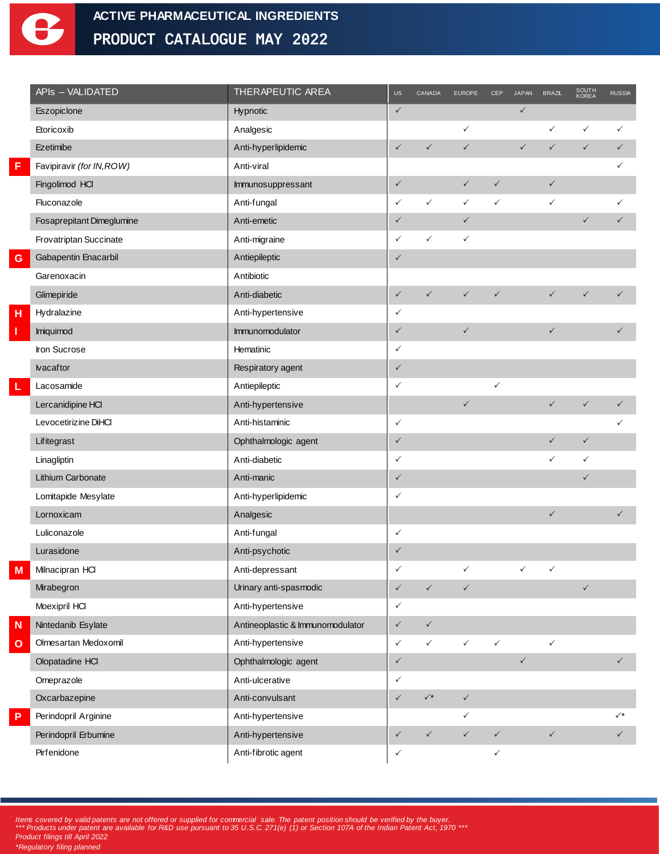

|   | APIs - VALIDATED          | THERAPEUTIC AREA                 | <b>US</b>    | CANADA         | <b>EUROPE</b> | <b>CEP</b>   | <b>JAPAN</b> | <b>BRAZL</b> | SOUTH<br>KOREA | <b>RUSSIA</b> |
|---|---------------------------|----------------------------------|--------------|----------------|---------------|--------------|--------------|--------------|----------------|---------------|
|   | Eszopiclone               | Hypnotic                         | $\checkmark$ |                |               |              | $\checkmark$ |              |                |               |
|   | Etoricoxib                | Analgesic                        |              |                | $\checkmark$  |              |              | $\checkmark$ | $\checkmark$   | $\checkmark$  |
|   | Ezetimibe                 | Anti-hyperlipidemic              | $\checkmark$ | $\checkmark$   | $\checkmark$  |              | $\checkmark$ | $\checkmark$ | $\checkmark$   | $\checkmark$  |
|   | Favipiravir (for IN, ROW) | Anti-viral                       |              |                |               |              |              |              |                | ✓             |
|   | Fingolimod HCI            | Immunosuppressant                | $\checkmark$ |                | $\checkmark$  | $\checkmark$ |              | $\checkmark$ |                |               |
|   | Fluconazole               | Anti-fungal                      | $\checkmark$ | $\checkmark$   | $\checkmark$  | $\checkmark$ |              | $\checkmark$ |                | ✓             |
|   | Fosaprepitant Dimeglumine | Anti-emetic                      | $\checkmark$ |                | $\checkmark$  |              |              |              | $\checkmark$   | $\checkmark$  |
|   | Frovatriptan Succinate    | Anti-migraine                    | $\checkmark$ | $\checkmark$   | $\checkmark$  |              |              |              |                |               |
| G | Gabapentin Enacarbil      | Antiepileptic                    | $\checkmark$ |                |               |              |              |              |                |               |
|   | Garenoxacin               | Antibiotic                       |              |                |               |              |              |              |                |               |
|   | Glimepiride               | Anti-diabetic                    | $\checkmark$ | $\checkmark$   | $\checkmark$  | $\checkmark$ |              | $\checkmark$ | $\checkmark$   | ✓             |
| н | Hydralazine               | Anti-hypertensive                | $\checkmark$ |                |               |              |              |              |                |               |
|   | Imiquimod                 | Immunomodulator                  | $\checkmark$ |                | $\checkmark$  |              |              | $\checkmark$ |                |               |
|   | Iron Sucrose              | Hematinic                        | $\checkmark$ |                |               |              |              |              |                |               |
|   | <b>lvacaftor</b>          | Respiratory agent                | $\checkmark$ |                |               |              |              |              |                |               |
|   | Lacosamide                | Antiepileptic                    | $\checkmark$ |                |               | $\checkmark$ |              |              |                |               |
|   | Lercanidipine HCI         | Anti-hypertensive                |              |                | $\checkmark$  |              |              | $\checkmark$ | $\checkmark$   | $\checkmark$  |
|   | Levocetirizine DiHCl      | Anti-histaminic                  | $\checkmark$ |                |               |              |              |              |                | $\checkmark$  |
|   | Lifitegrast               | Ophthalmologic agent             | $\checkmark$ |                |               |              |              | $\checkmark$ | $\checkmark$   |               |
|   | Linagliptin               | Anti-diabetic                    | $\checkmark$ |                |               |              |              | $\checkmark$ | $\checkmark$   |               |
|   | Lithium Carbonate         | Anti-manic                       | $\checkmark$ |                |               |              |              |              | $\checkmark$   |               |
|   | Lomitapide Mesylate       | Anti-hyperlipidemic              | $\checkmark$ |                |               |              |              |              |                |               |
|   | Lornoxicam                | Analgesic                        |              |                |               |              |              | $\checkmark$ |                | $\checkmark$  |
|   | Luliconazole              | Anti-fungal                      | $\checkmark$ |                |               |              |              |              |                |               |
|   | Lurasidone                | Anti-psychotic                   | $\checkmark$ |                |               |              |              |              |                |               |
| M | Milnacipran HCI           | Anti-depressant                  | $\checkmark$ |                | $\checkmark$  |              | $\checkmark$ | $\checkmark$ |                |               |
|   | Mirabegron                | Urinary anti-spasmodic           | $\checkmark$ | $\checkmark$   | $\checkmark$  |              |              |              | $\checkmark$   |               |
|   | Moexipril HCI             | Anti-hypertensive                | $\checkmark$ |                |               |              |              |              |                |               |
| N | Nintedanib Esylate        | Antineoplastic & Immunomodulator | $\checkmark$ | $\checkmark$   |               |              |              |              |                |               |
| О | Olmesartan Medoxomil      | Anti-hypertensive                | $\checkmark$ | $\checkmark$   | $\checkmark$  | $\checkmark$ |              | $\checkmark$ |                |               |
|   | Olopatadine HCI           | Ophthalmologic agent             | $\checkmark$ |                |               |              | $\checkmark$ |              |                | $\checkmark$  |
|   | Omeprazole                | Anti-ulcerative                  | $\checkmark$ |                |               |              |              |              |                |               |
|   | Oxcarbazepine             | Anti-convulsant                  | $\checkmark$ | $\checkmark^*$ | $\checkmark$  |              |              |              |                |               |
| P | Perindopril Arginine      | Anti-hypertensive                |              |                | $\checkmark$  |              |              |              |                | $\surd\star$  |
|   | Perindopril Erbumine      | Anti-hypertensive                | $\checkmark$ | $\checkmark$   | $\checkmark$  | $\checkmark$ |              | $\checkmark$ |                | $\checkmark$  |
|   | Pirfenidone               | Anti-fibrotic agent              | $\checkmark$ |                |               | $\checkmark$ |              |              |                |               |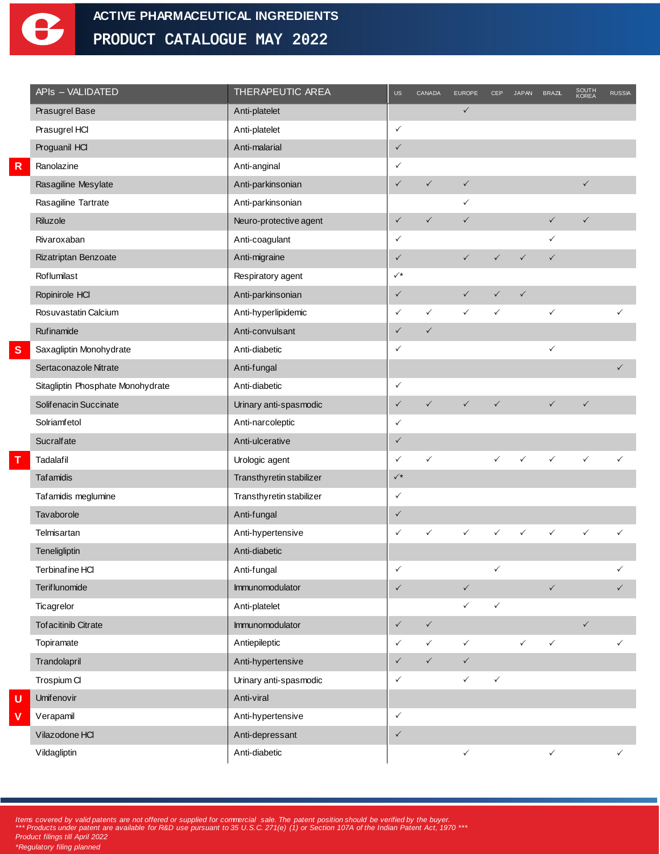

|   | APIs - VALIDATED                  | <b>THERAPEUTIC AREA</b>  | <b>US</b>      | <b>CANADA</b> | <b>EUROPE</b> | <b>CEP</b>   | <b>JAPAN</b> | <b>BRAZL</b> | SOUTH<br>KOREA | <b>RUSSIA</b> |
|---|-----------------------------------|--------------------------|----------------|---------------|---------------|--------------|--------------|--------------|----------------|---------------|
|   | Prasugrel Base                    | Anti-platelet            |                |               | $\checkmark$  |              |              |              |                |               |
|   | Prasugrel HCl                     | Anti-platelet            | $\checkmark$   |               |               |              |              |              |                |               |
|   | Proguanil HCI                     | Anti-malarial            | $\checkmark$   |               |               |              |              |              |                |               |
| R | Ranolazine                        | Anti-anginal             | $\checkmark$   |               |               |              |              |              |                |               |
|   | Rasagiline Mesylate               | Anti-parkinsonian        | $\checkmark$   | $\checkmark$  | $\checkmark$  |              |              |              | $\checkmark$   |               |
|   | Rasagiline Tartrate               | Anti-parkinsonian        |                |               | $\checkmark$  |              |              |              |                |               |
|   | Riluzole                          | Neuro-protective agent   | $\checkmark$   | $\checkmark$  | $\checkmark$  |              |              | $\checkmark$ | $\checkmark$   |               |
|   | Rivaroxaban                       | Anti-coagulant           | $\checkmark$   |               |               |              |              | $\checkmark$ |                |               |
|   | Rizatriptan Benzoate              | Anti-migraine            | $\checkmark$   |               | $\checkmark$  | $\checkmark$ | $\checkmark$ | $\checkmark$ |                |               |
|   | Roflumilast                       | Respiratory agent        | $\checkmark^*$ |               |               |              |              |              |                |               |
|   | Ropinirole HCI                    | Anti-parkinsonian        | $\checkmark$   |               | $\checkmark$  | $\checkmark$ | $\checkmark$ |              |                |               |
|   | Rosuvastatin Calcium              | Anti-hyperlipidemic      | $\checkmark$   | $\checkmark$  | $\checkmark$  | $\checkmark$ |              | $\checkmark$ |                |               |
|   | Rufinamide                        | Anti-convulsant          | $\checkmark$   | $\checkmark$  |               |              |              |              |                |               |
| S | Saxagliptin Monohydrate           | Anti-diabetic            | $\checkmark$   |               |               |              |              | $\checkmark$ |                |               |
|   | Sertaconazole Nitrate             | Anti-fungal              |                |               |               |              |              |              |                | $\checkmark$  |
|   | Sitagliptin Phosphate Monohydrate | Anti-diabetic            | $\checkmark$   |               |               |              |              |              |                |               |
|   | Solifenacin Succinate             | Urinary anti-spasmodic   | $\checkmark$   | $\checkmark$  | $\checkmark$  | $\checkmark$ |              | $\checkmark$ | $\checkmark$   |               |
|   | Solriamfetol                      | Anti-narcoleptic         | $\checkmark$   |               |               |              |              |              |                |               |
|   | Sucralfate                        | Anti-ulcerative          | $\checkmark$   |               |               |              |              |              |                |               |
|   | Tadalafil                         | Urologic agent           | $\checkmark$   | $\checkmark$  |               | $\checkmark$ | $\checkmark$ | $\checkmark$ | $\checkmark$   | ✓             |
|   | Tafamidis                         | Transthyretin stabilizer | $\checkmark^*$ |               |               |              |              |              |                |               |
|   | Tafamidis meglumine               | Transthyretin stabilizer | $\checkmark$   |               |               |              |              |              |                |               |
|   | Tavaborole                        | Anti-fungal              | $\checkmark$   |               |               |              |              |              |                |               |
|   | Telmisartan                       | Anti-hypertensive        | $\checkmark$   | ✓             | ✓             |              | ✓            | $\checkmark$ | $\checkmark$   | ✓             |
|   | Teneligliptin                     | Anti-diabetic            |                |               |               |              |              |              |                |               |
|   | Terbinafine HCI                   | Anti-fungal              | $\checkmark$   |               |               | $\checkmark$ |              |              |                | $\checkmark$  |
|   | Teriflunomide                     | Immunomodulator          | $\checkmark$   |               | $\checkmark$  |              |              | $\checkmark$ |                | $\checkmark$  |
|   | Ticagrelor                        | Anti-platelet            |                |               | $\checkmark$  | $\checkmark$ |              |              |                |               |
|   | <b>Tofacitinib Citrate</b>        | Immunomodulator          | $\checkmark$   | $\checkmark$  |               |              |              |              | $\checkmark$   |               |
|   | Topiramate                        | Antiepileptic            | $\checkmark$   | $\checkmark$  | $\checkmark$  |              | $\checkmark$ | $\checkmark$ |                | ✓             |
|   | Trandolapril                      | Anti-hypertensive        | $\checkmark$   | $\checkmark$  | $\checkmark$  |              |              |              |                |               |
|   | Trospium Cl                       | Urinary anti-spasmodic   | $\checkmark$   |               | $\checkmark$  | $\checkmark$ |              |              |                |               |
| U | <b>Umifenovir</b>                 | Anti-viral               |                |               |               |              |              |              |                |               |
| V | Verapamil                         | Anti-hypertensive        | $\checkmark$   |               |               |              |              |              |                |               |
|   | Vilazodone HCl                    | Anti-depressant          | $\checkmark$   |               |               |              |              |              |                |               |
|   | Vildagliptin                      | Anti-diabetic            |                |               | $\checkmark$  |              |              | $\checkmark$ |                | $\checkmark$  |